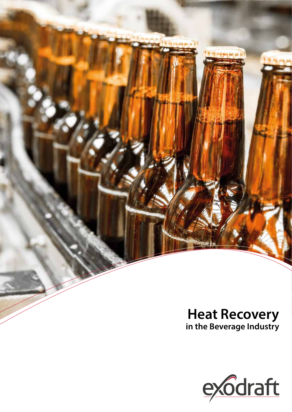

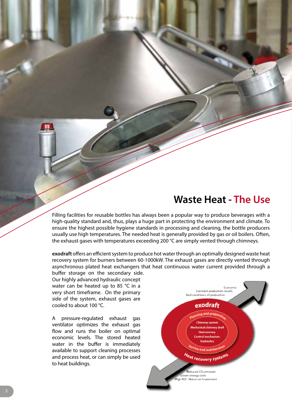## **Waste Heat - The Use**

Filling facilities for reusable bottles has always been a popular way to produce beverages with a high-quality standard and, thus, plays a huge part in protecting the environment and climate. To ensure the highest possible hygiene standards in processing and cleaning, the bottle producers usually use high temperatures. The needed heat is generally provided by gas or oil boilers. Often, the exhaust gases with temperatures exceeding 200 °C are simply vented through chimneys.

**exodraft** offers an efficient system to produce hot water through an optimally designed waste heat recovery system for burners between 60-1000kW. The exhaust gases are directly vented through asynchronous plated heat exchangers that heat continuous water current provided through a buffer storage on the secondary side.

Our highly advanced hydraulic concept water can be heated up to 85 °C in a very short timeframe. On the primary side of the system, exhaust gases are cooled to about 100 °C.

A pressure-regulated exhaust gas ventilator optimizes the exhaust gas flow and runs the boiler on optimal economic levels. The stored heated water in the buffer is immediately available to support cleaning processes and process heat, or can simply be used to heat buildings.

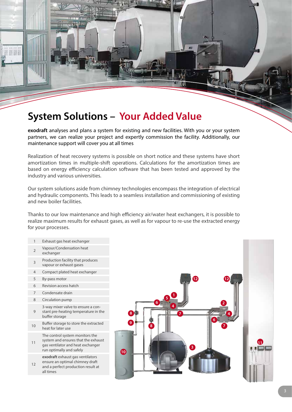# **System Solutions – Your Added Value**

**exodraft** analyses and plans a system for existing and new facilities. With you or your system partners, we can realize your project and expertly commission the facility. Additionally, our maintenance support will cover you at all times

Realization of heat recovery systems is possible on short notice and these systems have short amortization times in multiple-shift operations. Calculations for the amortization times are based on energy efficiency calculation software that has been tested and approved by the industry and various universities.

Our system solutions aside from chimney technologies encompass the integration of electrical and hydraulic components. This leads to a seamless installation and commissioning of existing and new boiler facilities.

Thanks to our low maintenance and high efficiency air/water heat exchangers, it is possible to realize maximum results for exhaust gases, as well as for vapour to re-use the extracted energy for your processes.

- 1 Exhaust gas heat exchanger
	- 2 Vapour/Condensation heat
	- exchanger
	- **3** Production facility that produces vapour or exhaust gases
	- 4 Compact plated heat exchanger
	-
	- 5 By-pass motor
	- 6 Revision access hatch
	- 7 Condensate drain
	- 8 Circulation pump

11

12

all times

- $\alpha$ 3-way mixer valve to ensure a constant pre-heating temperature in the buffer storage
- 10 Buffer storage to store the extracted heat for later use

The control system monitors the system and ensures that the exhaust

gas ventilator and heat exchanger run optimally and safely

**exodraft** exhaust gas ventilators ensure an optimal chimney draft and a perfect production result at